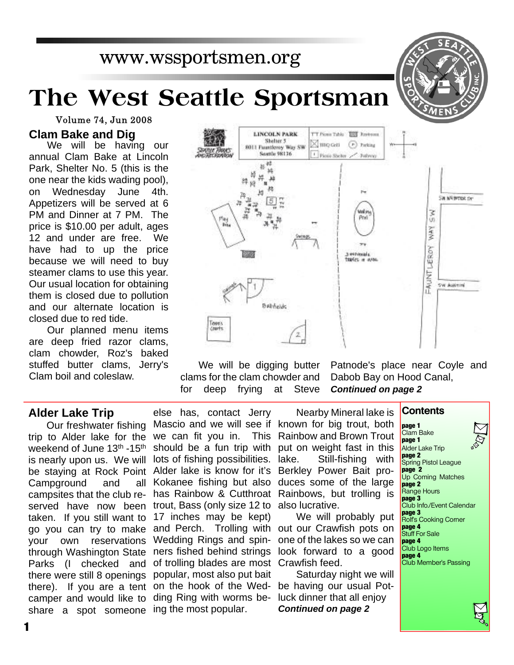www.wssportsmen.org

# **The West Seattle Sportsman**

Volume 74, Jun 2008

## **Clam Bake and Dig**

We will be having our annual Clam Bake at Lincoln Park, Shelter No. 5 (this is the one near the kids wading pool), on Wednesday June 4th. Appetizers will be served at 6 PM and Dinner at 7 PM. The price is \$10.00 per adult, ages 12 and under are free. We have had to up the price because we will need to buy steamer clams to use this year. Our usual location for obtaining them is closed due to pollution and our alternate location is closed due to red tide.

Our planned menu items are deep fried razor clams, clam chowder, Roz's baked stuffed butter clams, Jerry's Clam boil and coleslaw.

# **Alder Lake Trip**

Our freshwater fishing trip to Alder lake for the weekend of June 13<sup>th</sup> -15<sup>th</sup> is nearly upon us. We will be staying at Rock Point Campground and all campsites that the club reserved have now been taken. If you still want to go you can try to make your own reservations through Washington State Parks (I checked and there were still 8 openings camper and would like to share a spot someone ing the most popular.

there). If you are a tent on the hook of the Wedelse has, contact Jerry Mascio and we will see if known for big trout, both we can fit you in. This Rainbow and Brown Trout should be a fun trip with put on weight fast in this lots of fishing possibilities. Alder lake is know for it's Berkley Power Bait pro-Kokanee fishing but also duces some of the large has Rainbow & Cutthroat Rainbows, but trolling is trout, Bass (only size 12 to also lucrative. 17 inches may be kept) and Perch. Trolling with out our Crawfish pots on Wedding Rings and spin- one of the lakes so we can ners fished behind strings look forward to a good of trolling blades are most Crawfish feed. popular, most also put bait ding Ring with worms be-luck dinner that all enjoy

We will be digging butter clams for the clam chowder and for deep frying at Steve

> Nearby Mineral lake is Still-fishing with **Contents page 1**

We will probably put

Saturday night we will be having our usual Pot-*Continued on page 2*

Patnode's place near Coyle and Dabob Bay on Hood Canal, *Continued on page 2*

> Clam Bake **page 1** Alder Lake Trip **page 2** Spring Pistol League **page 2** Up Coming Matches **page 2** Range Hours **page 3** Club Info./Event Calendar **page 3** Rolf's Cooking Corner **page 4** Stuff For Sale **page 4** Club Logo Items **page 4** Club Member's Passing



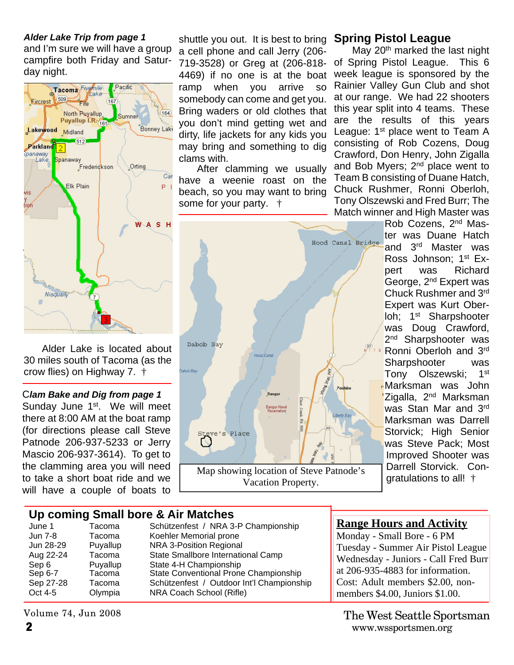#### *Alder Lake Trip from page 1*

and I'm sure we will have a group campfire both Friday and Saturday night.



Alder Lake is located about 30 miles south of Tacoma (as the crow flies) on Highway 7. †

#### C*lam Bake and Dig from page 1*

Sunday June 1<sup>st</sup>. We will meet there at 8:00 AM at the boat ramp (for directions please call Steve Patnode 206-937-5233 or Jerry Mascio 206-937-3614). To get to the clamming area you will need to take a short boat ride and we will have a couple of boats to

### shuttle you out. It is best to bring a cell phone and call Jerry (206- 719-3528) or Greg at (206-818- 4469) if no one is at the boat ramp when you arrive so somebody can come and get you. Bring waders or old clothes that you don't mind getting wet and dirty, life jackets for any kids you may bring and something to dig clams with.

After clamming we usually have a weenie roast on the beach, so you may want to bring some for your party. †



# **Spring Pistol League**

May 20<sup>th</sup> marked the last night of Spring Pistol League. This 6 week league is sponsored by the Rainier Valley Gun Club and shot at our range. We had 22 shooters this year split into 4 teams. These are the results of this years League: 1<sup>st</sup> place went to Team A consisting of Rob Cozens, Doug Crawford, Don Henry, John Zigalla and Bob Myers; 2<sup>nd</sup> place went to Team B consisting of Duane Hatch, Chuck Rushmer, Ronni Oberloh, Tony Olszewski and Fred Burr; The Match winner and High Master was

Rob Cozens, 2nd Master was Duane Hatch and 3rd Master was Ross Johnson; 1st Expert was Richard George, 2nd Expert was Chuck Rushmer and 3rd Expert was Kurt Oberloh; 1<sup>st</sup> Sharpshooter was Doug Crawford, 2<sup>nd</sup> Sharpshooter was Ronni Oberloh and 3rd Sharpshooter was Tony Olszewski; 1st **Marksman was John** Zigalla, 2<sup>nd</sup> Marksman was Stan Mar and 3rd Marksman was Darrell Storvick; High Senior was Steve Pack; Most Improved Shooter was Darrell Storvick. Congratulations to all! †

# **Up coming Small bore & Air Matches**

| June 1    | Tacoma   | Schützenfest / NRA 3-P Championship       |
|-----------|----------|-------------------------------------------|
| Jun 7-8   | Tacoma   | Koehler Memorial prone                    |
| Jun 28-29 | Puyallup | NRA 3-Position Regional                   |
| Aug 22-24 | Tacoma   | State Smallbore International Camp        |
| Sep 6     | Puyallup | State 4-H Championship                    |
| Sep 6-7   | Tacoma   | State Conventional Prone Championship     |
| Sep 27-28 | Tacoma   | Schützenfest / Outdoor Int'l Championship |
| Oct 4-5   | Olympia  | NRA Coach School (Rifle)                  |

**Range Hours and Activity**

Monday - Small Bore - 6 PM Tuesday - Summer Air Pistol League Wednesday - Juniors - Call Fred Burr at 206-935-4883 for information. Cost: Adult members \$2.00, nonmembers \$4.00, Juniors \$1.00.

**2** www.wssportsmen.org The West Seattle Sportsman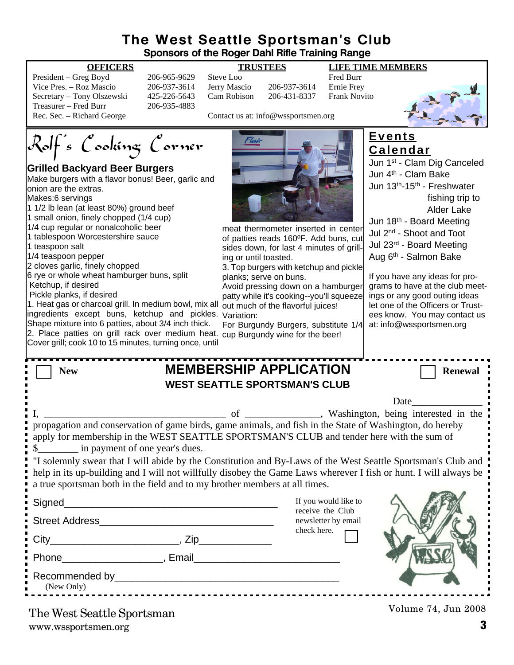# **The West Seattle Sportsman's Club Sponsors of the Roger Dahl Rifle Training Range**

| President – Greg Boyd      | 2 |
|----------------------------|---|
| Vice Pres. – Roz Mascio    | 2 |
| Secretary - Tony Olszewski | 4 |
| Treasurer – Fred Burr      | 2 |
| Rec. Sec. – Richard George |   |

Pred Burr (1965-9629 Steve Loo 106-965-9629 Steve Loo Fred Burr<br>196-937-3614 Jerry Mascio 206-937-3614 Ernie Frev 206-937-3614 Jerry Mascio 206-937-3614 Ernie Frey<br>125-226-5643 Cam Robison 206-431-8337 Frank Novito 125-226-5643 Cam Robison 206-431-8337  $206 - 935 - 4883$ 

**OFFICERS TRUSTEES LIFE TIME MEMBERS**



Contact us at: info@wssportsmen.org

Rolf's Cooking Corner**Events Calendar** Jun 1st - Clam Dig Canceled **Grilled Backyard Beer Burgers** Jun 4th - Clam Bake Make burgers with a flavor bonus! Beer, garlic and Jun 13<sup>th</sup>-15<sup>th</sup> - Freshwater onion are the extras. fishing trip to Makes:6 servings 1 1/2 lb lean (at least 80%) ground beef Alder Lake 1 small onion, finely chopped (1/4 cup) Jun 18th - Board Meeting 1/4 cup regular or nonalcoholic beer meat thermometer inserted in center Jul 2nd - Shoot and Toot 1 tablespoon Worcestershire sauce of patties reads 160ºF. Add buns, cut Jul 23rd - Board Meeting 1 teaspoon salt sides down, for last 4 minutes of grill-1/4 teaspoon pepper Aug 6th - Salmon Bake ing or until toasted. 2 cloves garlic, finely chopped 3. Top burgers with ketchup and pickle 6 rye or whole wheat hamburger buns, split planks; serve on buns. If you have any ideas for pro- Ketchup, if desired Avoid pressing down on a hamburger grams to have at the club meet- Pickle planks, if desired patty while it's cooking--you'll squeeze ings or any good outing ideas 1. Heat gas or charcoal grill. In medium bowl, mix all out much of the flavorful juices! let one of the Officers or Trustingredients except buns, ketchup and pickles. Variation: ees know. You may contact us Shape mixture into 6 patties, about 3/4 inch thick. at: info@wssportsmen.org For Burgundy Burgers, substitute 1/4 2. Place patties on grill rack over medium heat. cup Burgundy wine for the beer! Cover grill; cook 10 to 15 minutes, turning once, until **New MEMBERSHIP APPLICATION** Renewal **WEST SEATTLE SPORTSMAN'S CLUB** Date I, Washington, being interested in the propagation and conservation of game birds, game animals, and fish in the State of Washington, do hereby apply for membership in the WEST SEATTLE SPORTSMAN'S CLUB and tender here with the sum of \$ in payment of one year's dues. "I solemnly swear that I will abide by the Constitution and By-Laws of the West Seattle Sportsman's Club and help in its up-building and I will not willfully disobey the Game Laws wherever I fish or hunt. I will always be a true sportsman both in the field and to my brother members at all times. If you would like to  $Signal$ receive the Club Street Address\_\_\_\_\_\_\_\_\_\_\_\_\_\_\_\_\_\_\_\_\_\_\_\_\_\_\_\_\_\_\_ newsletter by email check here. City\_\_\_\_\_\_\_\_\_\_\_\_\_\_\_\_\_\_\_\_\_\_\_, Zip\_\_\_\_\_\_\_\_\_\_\_\_\_ Phone\_\_\_\_\_\_\_\_\_\_\_\_\_\_\_\_\_\_, Email\_\_\_\_\_\_\_\_\_\_\_\_\_\_\_\_\_\_\_\_\_\_\_\_\_\_ Recommended by\_\_\_\_\_\_\_\_\_\_\_\_\_\_\_\_\_\_\_\_\_\_\_\_\_\_\_\_\_\_\_\_\_\_\_\_\_\_\_\_ (New Only) Volume 74, Jun 2008

www.wssportsmen.org **3** The West Seattle Sportsman